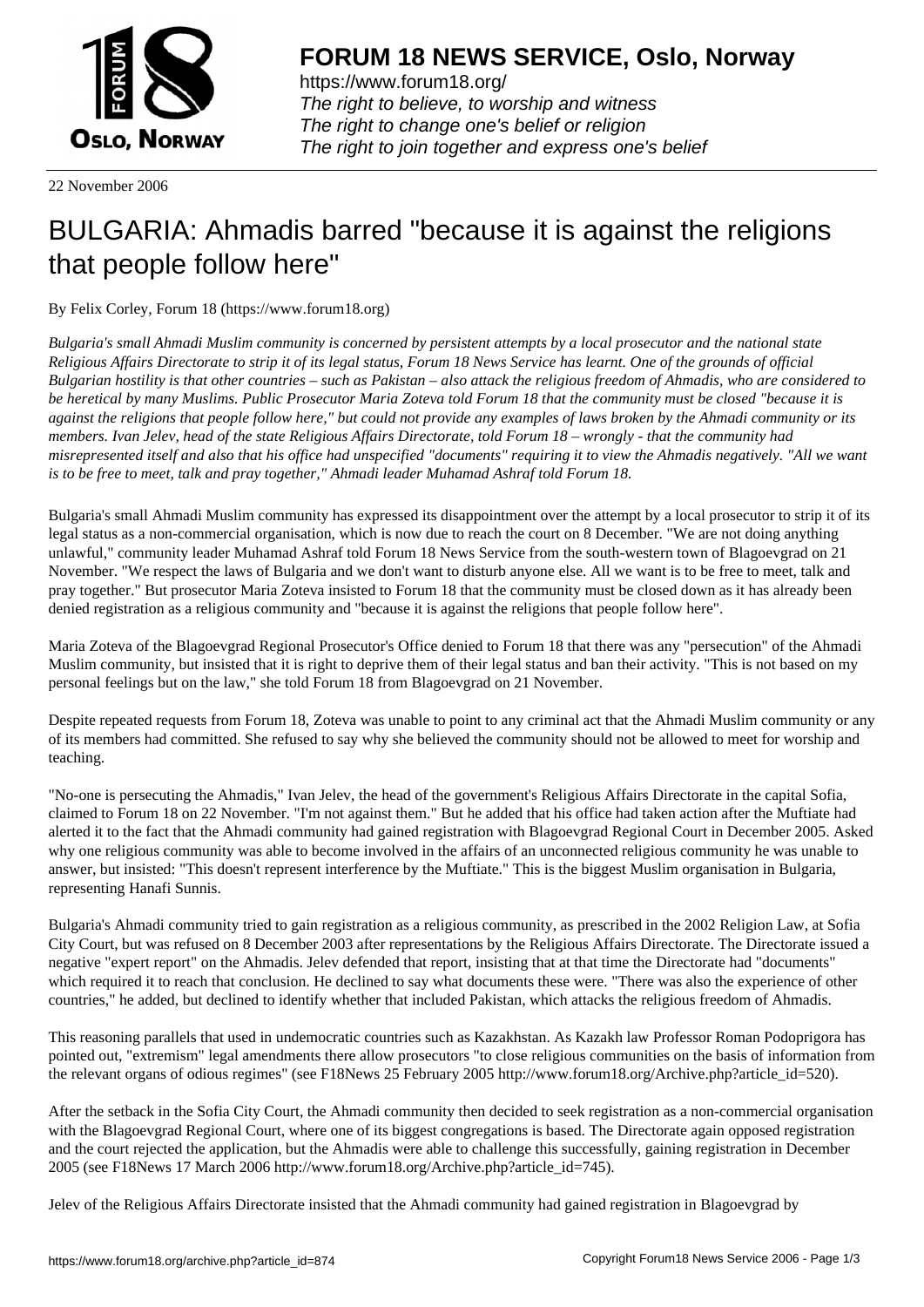

https://www.forum18.org/ The right to believe, to worship and witness The right to change one's belief or religion [The right to join together a](https://www.forum18.org/)nd express one's belief

22 November 2006

## [BULGARIA: Ah](https://www.forum18.org)madis barred "because it is against the religions that people follow here"

By Felix Corley, Forum 18 (https://www.forum18.org)

*Bulgaria's small Ahmadi Muslim community is concerned by persistent attempts by a local prosecutor and the national state Religious Affairs Directorate to strip it of its legal status, Forum 18 News Service has learnt. One of the grounds of official Bulgarian hostility is that other countries – such as Pakistan – also attack the religious freedom of Ahmadis, who are considered to be heretical by many Muslims. Public Prosecutor Maria Zoteva told Forum 18 that the community must be closed "because it is against the religions that people follow here," but could not provide any examples of laws broken by the Ahmadi community or its members. Ivan Jelev, head of the state Religious Affairs Directorate, told Forum 18 – wrongly - that the community had misrepresented itself and also that his office had unspecified "documents" requiring it to view the Ahmadis negatively. "All we want is to be free to meet, talk and pray together," Ahmadi leader Muhamad Ashraf told Forum 18.*

Bulgaria's small Ahmadi Muslim community has expressed its disappointment over the attempt by a local prosecutor to strip it of its legal status as a non-commercial organisation, which is now due to reach the court on 8 December. "We are not doing anything unlawful," community leader Muhamad Ashraf told Forum 18 News Service from the south-western town of Blagoevgrad on 21 November. "We respect the laws of Bulgaria and we don't want to disturb anyone else. All we want is to be free to meet, talk and pray together." But prosecutor Maria Zoteva insisted to Forum 18 that the community must be closed down as it has already been denied registration as a religious community and "because it is against the religions that people follow here".

Maria Zoteva of the Blagoevgrad Regional Prosecutor's Office denied to Forum 18 that there was any "persecution" of the Ahmadi Muslim community, but insisted that it is right to deprive them of their legal status and ban their activity. "This is not based on my personal feelings but on the law," she told Forum 18 from Blagoevgrad on 21 November.

Despite repeated requests from Forum 18, Zoteva was unable to point to any criminal act that the Ahmadi Muslim community or any of its members had committed. She refused to say why she believed the community should not be allowed to meet for worship and teaching.

"No-one is persecuting the Ahmadis," Ivan Jelev, the head of the government's Religious Affairs Directorate in the capital Sofia, claimed to Forum 18 on 22 November. "I'm not against them." But he added that his office had taken action after the Muftiate had alerted it to the fact that the Ahmadi community had gained registration with Blagoevgrad Regional Court in December 2005. Asked why one religious community was able to become involved in the affairs of an unconnected religious community he was unable to answer, but insisted: "This doesn't represent interference by the Muftiate." This is the biggest Muslim organisation in Bulgaria, representing Hanafi Sunnis.

Bulgaria's Ahmadi community tried to gain registration as a religious community, as prescribed in the 2002 Religion Law, at Sofia City Court, but was refused on 8 December 2003 after representations by the Religious Affairs Directorate. The Directorate issued a negative "expert report" on the Ahmadis. Jelev defended that report, insisting that at that time the Directorate had "documents" which required it to reach that conclusion. He declined to say what documents these were. "There was also the experience of other countries," he added, but declined to identify whether that included Pakistan, which attacks the religious freedom of Ahmadis.

This reasoning parallels that used in undemocratic countries such as Kazakhstan. As Kazakh law Professor Roman Podoprigora has pointed out, "extremism" legal amendments there allow prosecutors "to close religious communities on the basis of information from the relevant organs of odious regimes" (see F18News 25 February 2005 http://www.forum18.org/Archive.php?article\_id=520).

After the setback in the Sofia City Court, the Ahmadi community then decided to seek registration as a non-commercial organisation with the Blagoevgrad Regional Court, where one of its biggest congregations is based. The Directorate again opposed registration and the court rejected the application, but the Ahmadis were able to challenge this successfully, gaining registration in December 2005 (see F18News 17 March 2006 http://www.forum18.org/Archive.php?article\_id=745).

Jelev of the Religious Affairs Directorate insisted that the Ahmadi community had gained registration in Blagoevgrad by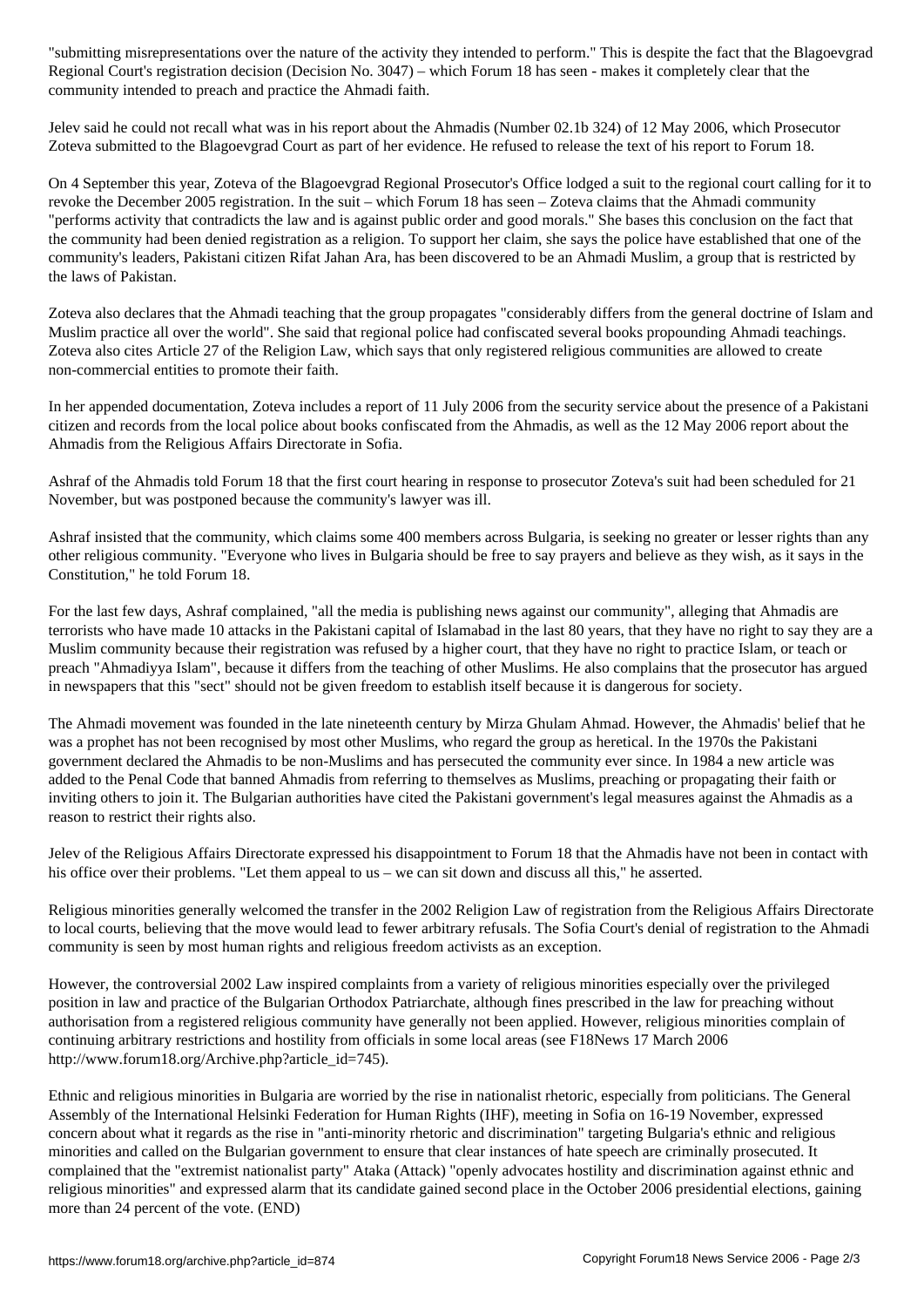Regional Court's registration decision (Decision No. 3047) – which Forum 18 has seen - makes it completely clear that the community intended to preach and practice the Ahmadi faith.

Jelev said he could not recall what was in his report about the Ahmadis (Number 02.1b 324) of 12 May 2006, which Prosecutor Zoteva submitted to the Blagoevgrad Court as part of her evidence. He refused to release the text of his report to Forum 18.

On 4 September this year, Zoteva of the Blagoevgrad Regional Prosecutor's Office lodged a suit to the regional court calling for it to revoke the December 2005 registration. In the suit – which Forum 18 has seen – Zoteva claims that the Ahmadi community "performs activity that contradicts the law and is against public order and good morals." She bases this conclusion on the fact that the community had been denied registration as a religion. To support her claim, she says the police have established that one of the community's leaders, Pakistani citizen Rifat Jahan Ara, has been discovered to be an Ahmadi Muslim, a group that is restricted by the laws of Pakistan.

Zoteva also declares that the Ahmadi teaching that the group propagates "considerably differs from the general doctrine of Islam and Muslim practice all over the world". She said that regional police had confiscated several books propounding Ahmadi teachings. Zoteva also cites Article 27 of the Religion Law, which says that only registered religious communities are allowed to create non-commercial entities to promote their faith.

In her appended documentation, Zoteva includes a report of 11 July 2006 from the security service about the presence of a Pakistani citizen and records from the local police about books confiscated from the Ahmadis, as well as the 12 May 2006 report about the Ahmadis from the Religious Affairs Directorate in Sofia.

Ashraf of the Ahmadis told Forum 18 that the first court hearing in response to prosecutor Zoteva's suit had been scheduled for 21 November, but was postponed because the community's lawyer was ill.

Ashraf insisted that the community, which claims some 400 members across Bulgaria, is seeking no greater or lesser rights than any other religious community. "Everyone who lives in Bulgaria should be free to say prayers and believe as they wish, as it says in the Constitution," he told Forum 18.

For the last few days, Ashraf complained, "all the media is publishing news against our community", alleging that Ahmadis are terrorists who have made 10 attacks in the Pakistani capital of Islamabad in the last 80 years, that they have no right to say they are a Muslim community because their registration was refused by a higher court, that they have no right to practice Islam, or teach or preach "Ahmadiyya Islam", because it differs from the teaching of other Muslims. He also complains that the prosecutor has argued in newspapers that this "sect" should not be given freedom to establish itself because it is dangerous for society.

The Ahmadi movement was founded in the late nineteenth century by Mirza Ghulam Ahmad. However, the Ahmadis' belief that he was a prophet has not been recognised by most other Muslims, who regard the group as heretical. In the 1970s the Pakistani government declared the Ahmadis to be non-Muslims and has persecuted the community ever since. In 1984 a new article was added to the Penal Code that banned Ahmadis from referring to themselves as Muslims, preaching or propagating their faith or inviting others to join it. The Bulgarian authorities have cited the Pakistani government's legal measures against the Ahmadis as a reason to restrict their rights also.

Jelev of the Religious Affairs Directorate expressed his disappointment to Forum 18 that the Ahmadis have not been in contact with his office over their problems. "Let them appeal to us – we can sit down and discuss all this," he asserted.

Religious minorities generally welcomed the transfer in the 2002 Religion Law of registration from the Religious Affairs Directorate to local courts, believing that the move would lead to fewer arbitrary refusals. The Sofia Court's denial of registration to the Ahmadi community is seen by most human rights and religious freedom activists as an exception.

However, the controversial 2002 Law inspired complaints from a variety of religious minorities especially over the privileged position in law and practice of the Bulgarian Orthodox Patriarchate, although fines prescribed in the law for preaching without authorisation from a registered religious community have generally not been applied. However, religious minorities complain of continuing arbitrary restrictions and hostility from officials in some local areas (see F18News 17 March 2006 http://www.forum18.org/Archive.php?article\_id=745).

Ethnic and religious minorities in Bulgaria are worried by the rise in nationalist rhetoric, especially from politicians. The General Assembly of the International Helsinki Federation for Human Rights (IHF), meeting in Sofia on 16-19 November, expressed concern about what it regards as the rise in "anti-minority rhetoric and discrimination" targeting Bulgaria's ethnic and religious minorities and called on the Bulgarian government to ensure that clear instances of hate speech are criminally prosecuted. It complained that the "extremist nationalist party" Ataka (Attack) "openly advocates hostility and discrimination against ethnic and religious minorities" and expressed alarm that its candidate gained second place in the October 2006 presidential elections, gaining more than 24 percent of the vote. (END)